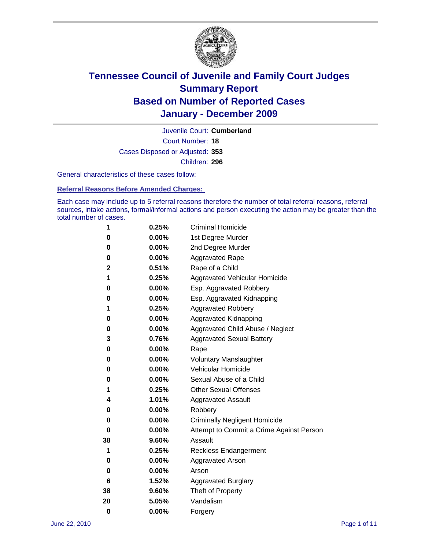

Court Number: **18** Juvenile Court: **Cumberland** Cases Disposed or Adjusted: **353** Children: **296**

General characteristics of these cases follow:

**Referral Reasons Before Amended Charges:** 

Each case may include up to 5 referral reasons therefore the number of total referral reasons, referral sources, intake actions, formal/informal actions and person executing the action may be greater than the total number of cases.

| 1  | 0.25% | <b>Criminal Homicide</b>                 |
|----|-------|------------------------------------------|
| 0  | 0.00% | 1st Degree Murder                        |
| 0  | 0.00% | 2nd Degree Murder                        |
| 0  | 0.00% | <b>Aggravated Rape</b>                   |
| 2  | 0.51% | Rape of a Child                          |
| 1  | 0.25% | Aggravated Vehicular Homicide            |
| 0  | 0.00% | Esp. Aggravated Robbery                  |
| 0  | 0.00% | Esp. Aggravated Kidnapping               |
| 1  | 0.25% | <b>Aggravated Robbery</b>                |
| 0  | 0.00% | Aggravated Kidnapping                    |
| 0  | 0.00% | Aggravated Child Abuse / Neglect         |
| 3  | 0.76% | <b>Aggravated Sexual Battery</b>         |
| 0  | 0.00% | Rape                                     |
| 0  | 0.00% | <b>Voluntary Manslaughter</b>            |
| 0  | 0.00% | Vehicular Homicide                       |
| 0  | 0.00% | Sexual Abuse of a Child                  |
| 1  | 0.25% | <b>Other Sexual Offenses</b>             |
| 4  | 1.01% | <b>Aggravated Assault</b>                |
| 0  | 0.00% | Robbery                                  |
| 0  | 0.00% | <b>Criminally Negligent Homicide</b>     |
| 0  | 0.00% | Attempt to Commit a Crime Against Person |
| 38 | 9.60% | Assault                                  |
| 1  | 0.25% | <b>Reckless Endangerment</b>             |
| 0  | 0.00% | <b>Aggravated Arson</b>                  |
| 0  | 0.00% | Arson                                    |
| 6  | 1.52% | <b>Aggravated Burglary</b>               |
| 38 | 9.60% | Theft of Property                        |
| 20 | 5.05% | Vandalism                                |
| 0  | 0.00% | Forgery                                  |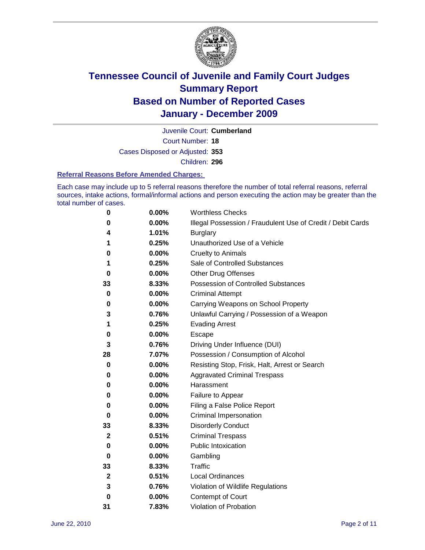

Court Number: **18** Juvenile Court: **Cumberland** Cases Disposed or Adjusted: **353** Children: **296**

#### **Referral Reasons Before Amended Charges:**

Each case may include up to 5 referral reasons therefore the number of total referral reasons, referral sources, intake actions, formal/informal actions and person executing the action may be greater than the total number of cases.

| 0  | 0.00% | <b>Worthless Checks</b>                                     |
|----|-------|-------------------------------------------------------------|
| 0  | 0.00% | Illegal Possession / Fraudulent Use of Credit / Debit Cards |
| 4  | 1.01% | <b>Burglary</b>                                             |
| 1  | 0.25% | Unauthorized Use of a Vehicle                               |
| 0  | 0.00% | <b>Cruelty to Animals</b>                                   |
| 1  | 0.25% | Sale of Controlled Substances                               |
| 0  | 0.00% | <b>Other Drug Offenses</b>                                  |
| 33 | 8.33% | Possession of Controlled Substances                         |
| 0  | 0.00% | <b>Criminal Attempt</b>                                     |
| 0  | 0.00% | Carrying Weapons on School Property                         |
| 3  | 0.76% | Unlawful Carrying / Possession of a Weapon                  |
| 1  | 0.25% | <b>Evading Arrest</b>                                       |
| 0  | 0.00% | Escape                                                      |
| 3  | 0.76% | Driving Under Influence (DUI)                               |
| 28 | 7.07% | Possession / Consumption of Alcohol                         |
| 0  | 0.00% | Resisting Stop, Frisk, Halt, Arrest or Search               |
| 0  | 0.00% | <b>Aggravated Criminal Trespass</b>                         |
| 0  | 0.00% | Harassment                                                  |
| 0  | 0.00% | Failure to Appear                                           |
| 0  | 0.00% | Filing a False Police Report                                |
| 0  | 0.00% | Criminal Impersonation                                      |
| 33 | 8.33% | <b>Disorderly Conduct</b>                                   |
| 2  | 0.51% | <b>Criminal Trespass</b>                                    |
| 0  | 0.00% | <b>Public Intoxication</b>                                  |
| 0  | 0.00% | Gambling                                                    |
| 33 | 8.33% | <b>Traffic</b>                                              |
| 2  | 0.51% | <b>Local Ordinances</b>                                     |
| 3  | 0.76% | Violation of Wildlife Regulations                           |
| 0  | 0.00% | Contempt of Court                                           |
| 31 | 7.83% | Violation of Probation                                      |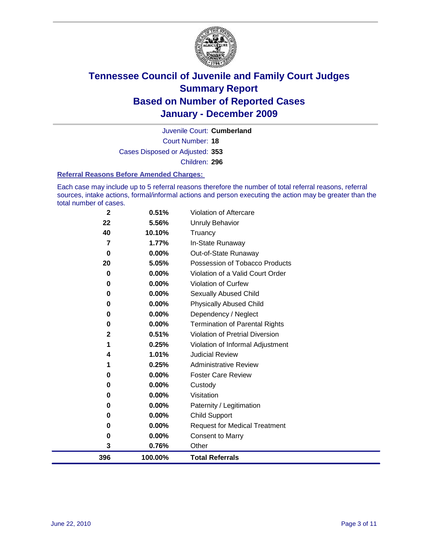

Court Number: **18** Juvenile Court: **Cumberland** Cases Disposed or Adjusted: **353** Children: **296**

#### **Referral Reasons Before Amended Charges:**

Each case may include up to 5 referral reasons therefore the number of total referral reasons, referral sources, intake actions, formal/informal actions and person executing the action may be greater than the total number of cases.

| 396            | 100.00%        | <b>Total Referrals</b>                                 |
|----------------|----------------|--------------------------------------------------------|
| 3              | 0.76%          | Other                                                  |
| 0              | 0.00%          | <b>Consent to Marry</b>                                |
| 0              | $0.00\%$       | <b>Request for Medical Treatment</b>                   |
| 0              | $0.00\%$       | <b>Child Support</b>                                   |
| 0              | $0.00\%$       | Paternity / Legitimation                               |
| 0              | $0.00\%$       | Visitation                                             |
| 0              | $0.00\%$       | Custody                                                |
| 0              | $0.00\%$       | <b>Foster Care Review</b>                              |
| 1              | 0.25%          | <b>Administrative Review</b>                           |
| 4              | 1.01%          | <b>Judicial Review</b>                                 |
| 1              | 0.25%          | Violation of Informal Adjustment                       |
| 2              | 0.51%          | <b>Violation of Pretrial Diversion</b>                 |
| 0              | $0.00\%$       | <b>Termination of Parental Rights</b>                  |
| 0              | $0.00\%$       | Dependency / Neglect                                   |
| $\bf{0}$       | $0.00\%$       | <b>Physically Abused Child</b>                         |
| 0              | 0.00%          | <b>Sexually Abused Child</b>                           |
| 0              | 0.00%          | Violation of Curfew                                    |
| $\bf{0}$       | $0.00\%$       | Violation of a Valid Court Order                       |
| $\bf{0}$<br>20 | 0.00%<br>5.05% | Out-of-State Runaway<br>Possession of Tobacco Products |
| 7              | 1.77%          | In-State Runaway                                       |
| 40             | 10.10%         | Truancy                                                |
| 22             | 5.56%          | <b>Unruly Behavior</b>                                 |
| 2              | 0.51%          | Violation of Aftercare                                 |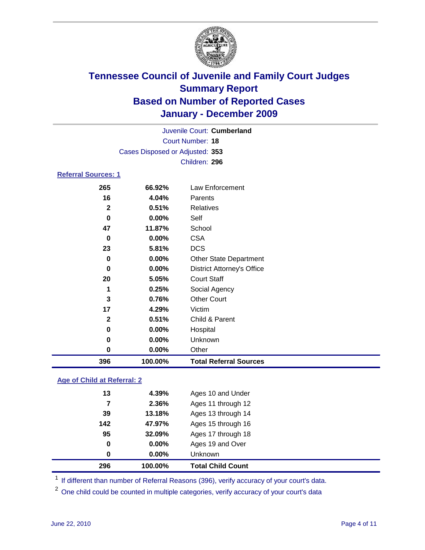

|                            |                                 | Juvenile Court: Cumberland        |
|----------------------------|---------------------------------|-----------------------------------|
|                            |                                 | Court Number: 18                  |
|                            | Cases Disposed or Adjusted: 353 |                                   |
|                            |                                 | Children: 296                     |
| <b>Referral Sources: 1</b> |                                 |                                   |
| 265                        | 66.92%                          | Law Enforcement                   |
| 16                         | 4.04%                           | Parents                           |
| $\mathbf{2}$               | 0.51%                           | <b>Relatives</b>                  |
| $\bf{0}$                   | 0.00%                           | Self                              |
| 47                         | 11.87%                          | School                            |
| 0                          | 0.00%                           | <b>CSA</b>                        |
| 23                         | 5.81%                           | <b>DCS</b>                        |
| $\bf{0}$                   | 0.00%                           | <b>Other State Department</b>     |
| 0                          | 0.00%                           | <b>District Attorney's Office</b> |
| 20                         | 5.05%                           | <b>Court Staff</b>                |
| 1                          | 0.25%                           | Social Agency                     |
| 3                          | 0.76%                           | <b>Other Court</b>                |
| 17                         | 4.29%                           | Victim                            |
| $\mathbf{2}$               | 0.51%                           | Child & Parent                    |
| 0                          | 0.00%                           | Hospital                          |
| 0                          | 0.00%                           | Unknown                           |

 **0.00%** Other **100.00% Total Referral Sources**

### **Age of Child at Referral: 2**

| <b>Total Child Count</b> | 100.00%  | 296 |
|--------------------------|----------|-----|
| <b>Unknown</b>           | $0.00\%$ | 0   |
| Ages 19 and Over         | 0.00%    | 0   |
| Ages 17 through 18       | 32.09%   | 95  |
| Ages 15 through 16       | 47.97%   | 142 |
| Ages 13 through 14       | 13.18%   | 39  |
| Ages 11 through 12       | 2.36%    | 7   |
| Ages 10 and Under        | 4.39%    | 13  |
|                          |          |     |

<sup>1</sup> If different than number of Referral Reasons (396), verify accuracy of your court's data.

<sup>2</sup> One child could be counted in multiple categories, verify accuracy of your court's data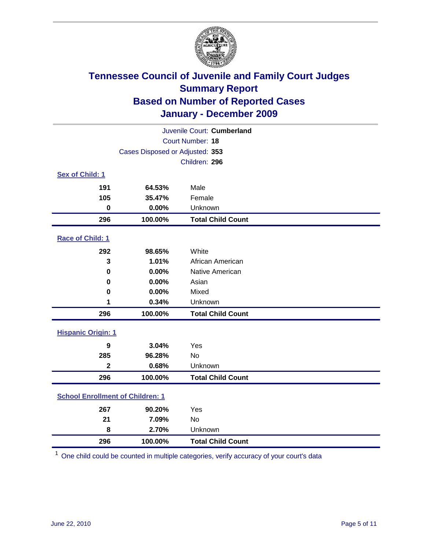

| Juvenile Court: Cumberland              |                                 |                          |  |  |  |
|-----------------------------------------|---------------------------------|--------------------------|--|--|--|
|                                         | Court Number: 18                |                          |  |  |  |
|                                         | Cases Disposed or Adjusted: 353 |                          |  |  |  |
|                                         | Children: 296                   |                          |  |  |  |
| Sex of Child: 1                         |                                 |                          |  |  |  |
| 191                                     | 64.53%                          | Male                     |  |  |  |
| 105                                     | 35.47%                          | Female                   |  |  |  |
| $\mathbf 0$                             | 0.00%                           | Unknown                  |  |  |  |
| 296                                     | 100.00%                         | <b>Total Child Count</b> |  |  |  |
| Race of Child: 1                        |                                 |                          |  |  |  |
| 292                                     | 98.65%                          | White                    |  |  |  |
| 3                                       | 1.01%                           | African American         |  |  |  |
| $\mathbf 0$                             | 0.00%                           | Native American          |  |  |  |
| 0                                       | 0.00%                           | Asian                    |  |  |  |
| $\mathbf 0$                             | 0.00%                           | Mixed                    |  |  |  |
| 1                                       | 0.34%                           | Unknown                  |  |  |  |
| 296                                     | 100.00%                         | <b>Total Child Count</b> |  |  |  |
| <b>Hispanic Origin: 1</b>               |                                 |                          |  |  |  |
| $\boldsymbol{9}$                        | 3.04%                           | Yes                      |  |  |  |
| 285                                     | 96.28%                          | No                       |  |  |  |
| $\overline{2}$                          | 0.68%                           | Unknown                  |  |  |  |
| 296                                     | 100.00%                         | <b>Total Child Count</b> |  |  |  |
| <b>School Enrollment of Children: 1</b> |                                 |                          |  |  |  |
| 267                                     | 90.20%                          | Yes                      |  |  |  |
| 21                                      | 7.09%                           | No                       |  |  |  |
| 8                                       | 2.70%                           | Unknown                  |  |  |  |
| 296                                     | 100.00%                         | <b>Total Child Count</b> |  |  |  |

One child could be counted in multiple categories, verify accuracy of your court's data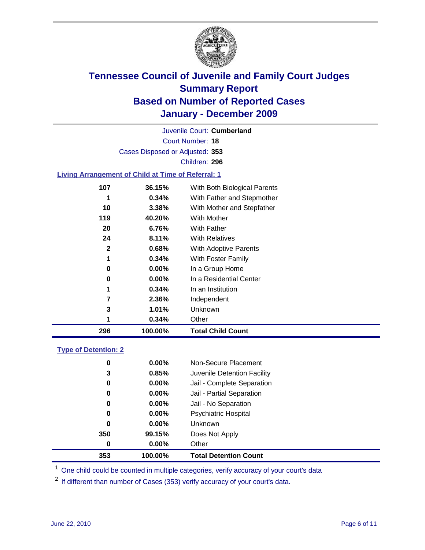

Court Number: **18** Juvenile Court: **Cumberland** Cases Disposed or Adjusted: **353** Children: **296**

#### **Living Arrangement of Child at Time of Referral: 1**

|     |          | <b>Total Child Count</b>     |
|-----|----------|------------------------------|
| 1   | 0.34%    | Other                        |
| 3   | 1.01%    | Unknown                      |
| 7   | 2.36%    | Independent                  |
| 1   | 0.34%    | In an Institution            |
| 0   | $0.00\%$ | In a Residential Center      |
| 0   | 0.00%    | In a Group Home              |
| 1   | 0.34%    | With Foster Family           |
| 2   | 0.68%    | With Adoptive Parents        |
| 24  | 8.11%    | <b>With Relatives</b>        |
| 20  | 6.76%    | With Father                  |
| 119 | 40.20%   | With Mother                  |
| 10  | 3.38%    | With Mother and Stepfather   |
|     | 0.34%    | With Father and Stepmother   |
| 107 | 36.15%   | With Both Biological Parents |
|     |          | 100.00%<br>296               |

#### **Type of Detention: 2**

| 353      | 100.00%  | <b>Total Detention Count</b> |
|----------|----------|------------------------------|
| 0        | $0.00\%$ | Other                        |
| 350      | 99.15%   | Does Not Apply               |
| $\bf{0}$ | $0.00\%$ | <b>Unknown</b>               |
| 0        | 0.00%    | <b>Psychiatric Hospital</b>  |
| 0        | 0.00%    | Jail - No Separation         |
| 0        | $0.00\%$ | Jail - Partial Separation    |
| 0        | $0.00\%$ | Jail - Complete Separation   |
| 3        | 0.85%    | Juvenile Detention Facility  |
| 0        | $0.00\%$ | Non-Secure Placement         |
|          |          |                              |

<sup>1</sup> One child could be counted in multiple categories, verify accuracy of your court's data

<sup>2</sup> If different than number of Cases (353) verify accuracy of your court's data.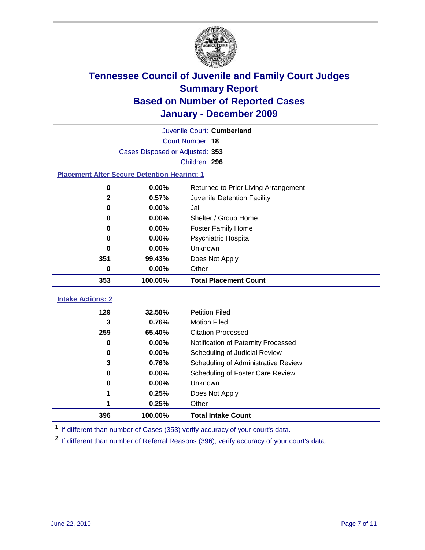

| Juvenile Court: Cumberland                         |          |                                      |  |  |  |
|----------------------------------------------------|----------|--------------------------------------|--|--|--|
| Court Number: 18                                   |          |                                      |  |  |  |
| Cases Disposed or Adjusted: 353                    |          |                                      |  |  |  |
|                                                    |          | Children: 296                        |  |  |  |
| <b>Placement After Secure Detention Hearing: 1</b> |          |                                      |  |  |  |
| 0                                                  | 0.00%    | Returned to Prior Living Arrangement |  |  |  |
| $\mathbf{2}$                                       | 0.57%    | Juvenile Detention Facility          |  |  |  |
| 0                                                  | 0.00%    | Jail                                 |  |  |  |
| $\bf{0}$                                           | 0.00%    | Shelter / Group Home                 |  |  |  |
| 0                                                  | $0.00\%$ | <b>Foster Family Home</b>            |  |  |  |
| $\bf{0}$                                           | 0.00%    | Psychiatric Hospital                 |  |  |  |
| 0                                                  | 0.00%    | <b>Unknown</b>                       |  |  |  |
| 351                                                | 99.43%   | Does Not Apply                       |  |  |  |
| $\bf{0}$                                           | 0.00%    | Other                                |  |  |  |
|                                                    |          |                                      |  |  |  |
| 353                                                | 100.00%  | <b>Total Placement Count</b>         |  |  |  |
| <b>Intake Actions: 2</b>                           |          |                                      |  |  |  |
| 129                                                | 32.58%   | <b>Petition Filed</b>                |  |  |  |
| 3                                                  | 0.76%    | <b>Motion Filed</b>                  |  |  |  |
| 259                                                | 65.40%   | <b>Citation Processed</b>            |  |  |  |
| $\bf{0}$                                           | 0.00%    | Notification of Paternity Processed  |  |  |  |
| 0                                                  | 0.00%    | Scheduling of Judicial Review        |  |  |  |
| 3                                                  | 0.76%    | Scheduling of Administrative Review  |  |  |  |
| $\bf{0}$                                           | 0.00%    | Scheduling of Foster Care Review     |  |  |  |
| 0                                                  | 0.00%    | Unknown                              |  |  |  |
| 1                                                  | 0.25%    | Does Not Apply                       |  |  |  |
| 1                                                  | 0.25%    | Other                                |  |  |  |

<sup>1</sup> If different than number of Cases (353) verify accuracy of your court's data.

<sup>2</sup> If different than number of Referral Reasons (396), verify accuracy of your court's data.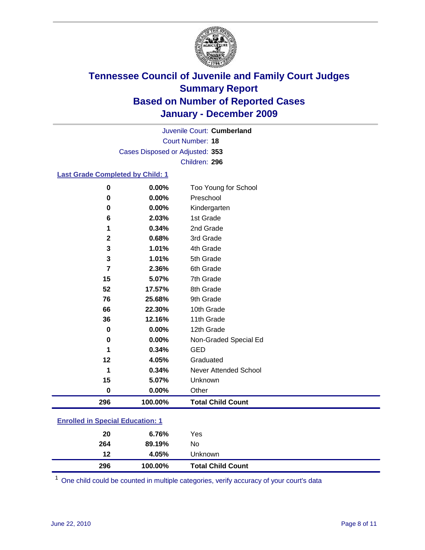

Court Number: **18** Juvenile Court: **Cumberland** Cases Disposed or Adjusted: **353** Children: **296**

#### **Last Grade Completed by Child: 1**

| $\bf{0}$                                | 0.00%   | Too Young for School         |
|-----------------------------------------|---------|------------------------------|
| $\bf{0}$                                | 0.00%   | Preschool                    |
| 0                                       | 0.00%   | Kindergarten                 |
| 6                                       | 2.03%   | 1st Grade                    |
| 1                                       | 0.34%   | 2nd Grade                    |
| $\mathbf{2}$                            | 0.68%   | 3rd Grade                    |
| 3                                       | 1.01%   | 4th Grade                    |
| $\mathbf 3$                             | 1.01%   | 5th Grade                    |
| $\overline{7}$                          | 2.36%   | 6th Grade                    |
| 15                                      | 5.07%   | 7th Grade                    |
| 52                                      | 17.57%  | 8th Grade                    |
| 76                                      | 25.68%  | 9th Grade                    |
| 66                                      | 22.30%  | 10th Grade                   |
| 36                                      | 12.16%  | 11th Grade                   |
| 0                                       | 0.00%   | 12th Grade                   |
| $\bf{0}$                                | 0.00%   | Non-Graded Special Ed        |
| 1                                       | 0.34%   | <b>GED</b>                   |
| 12                                      | 4.05%   | Graduated                    |
| 1                                       | 0.34%   | <b>Never Attended School</b> |
| 15                                      | 5.07%   | Unknown                      |
| 0                                       | 0.00%   | Other                        |
| 296                                     | 100.00% | <b>Total Child Count</b>     |
| Easta Hard for Ownedd a Editoraeth ac A |         |                              |

| <b>Enrolled in Special Education: 1</b> |  |
|-----------------------------------------|--|
|                                         |  |

| 20  | 6.76%   | Yes                      |  |
|-----|---------|--------------------------|--|
| 264 | 89.19%  | No                       |  |
| 12  | 4.05%   | Unknown                  |  |
| 296 | 100.00% | <b>Total Child Count</b> |  |

One child could be counted in multiple categories, verify accuracy of your court's data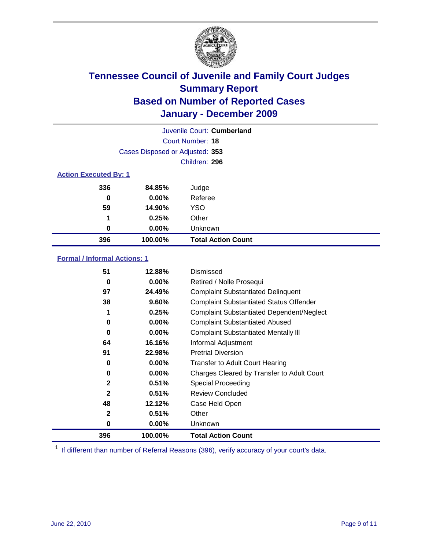

|                              |                                 | Juvenile Court: Cumberland |
|------------------------------|---------------------------------|----------------------------|
|                              |                                 | Court Number: 18           |
|                              | Cases Disposed or Adjusted: 353 |                            |
|                              |                                 | Children: 296              |
| <b>Action Executed By: 1</b> |                                 |                            |
| 336                          | 84.85%                          | Judge                      |
| $\bf{0}$                     | $0.00\%$                        | Referee                    |
| 59                           | 14.90%                          | <b>YSO</b>                 |
| 1                            | 0.25%                           | Other                      |
| 0                            | $0.00\%$                        | Unknown                    |
| 396                          | 100.00%                         | <b>Total Action Count</b>  |

### **Formal / Informal Actions: 1**

| 51           | 12.88%   | Dismissed                                        |
|--------------|----------|--------------------------------------------------|
| 0            | $0.00\%$ | Retired / Nolle Prosequi                         |
| 97           | 24.49%   | <b>Complaint Substantiated Delinquent</b>        |
| 38           | 9.60%    | <b>Complaint Substantiated Status Offender</b>   |
| 1            | 0.25%    | <b>Complaint Substantiated Dependent/Neglect</b> |
| 0            | $0.00\%$ | <b>Complaint Substantiated Abused</b>            |
| $\bf{0}$     | $0.00\%$ | <b>Complaint Substantiated Mentally III</b>      |
| 64           | 16.16%   | Informal Adjustment                              |
| 91           | 22.98%   | <b>Pretrial Diversion</b>                        |
| 0            | $0.00\%$ | <b>Transfer to Adult Court Hearing</b>           |
| 0            | $0.00\%$ | Charges Cleared by Transfer to Adult Court       |
| $\mathbf{2}$ | 0.51%    | Special Proceeding                               |
| $\mathbf{2}$ | 0.51%    | <b>Review Concluded</b>                          |
| 48           | 12.12%   | Case Held Open                                   |
| $\mathbf{2}$ | 0.51%    | Other                                            |
| 0            | $0.00\%$ | <b>Unknown</b>                                   |
| 396          | 100.00%  | <b>Total Action Count</b>                        |

<sup>1</sup> If different than number of Referral Reasons (396), verify accuracy of your court's data.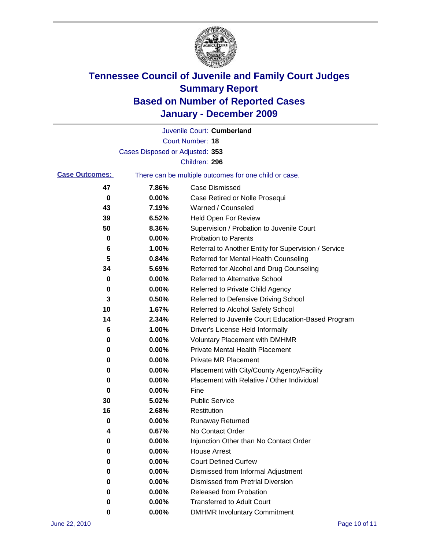

|                       |                                 | Juvenile Court: Cumberland                            |
|-----------------------|---------------------------------|-------------------------------------------------------|
|                       |                                 | Court Number: 18                                      |
|                       | Cases Disposed or Adjusted: 353 |                                                       |
|                       |                                 | Children: 296                                         |
| <b>Case Outcomes:</b> |                                 | There can be multiple outcomes for one child or case. |
| 47                    | 7.86%                           | <b>Case Dismissed</b>                                 |
| 0                     | 0.00%                           | Case Retired or Nolle Prosequi                        |
| 43                    | 7.19%                           | Warned / Counseled                                    |
| 39                    | 6.52%                           | Held Open For Review                                  |
| 50                    | 8.36%                           | Supervision / Probation to Juvenile Court             |
| 0                     | 0.00%                           | <b>Probation to Parents</b>                           |
| 6                     | 1.00%                           | Referral to Another Entity for Supervision / Service  |
| 5                     | 0.84%                           | Referred for Mental Health Counseling                 |
| 34                    | 5.69%                           | Referred for Alcohol and Drug Counseling              |
| 0                     | 0.00%                           | Referred to Alternative School                        |
| 0                     | 0.00%                           | Referred to Private Child Agency                      |
| 3                     | 0.50%                           | Referred to Defensive Driving School                  |
| 10                    | 1.67%                           | Referred to Alcohol Safety School                     |
| 14                    | 2.34%                           | Referred to Juvenile Court Education-Based Program    |
| 6                     | 1.00%                           | Driver's License Held Informally                      |
| 0                     | 0.00%                           | <b>Voluntary Placement with DMHMR</b>                 |
| 0                     | 0.00%                           | Private Mental Health Placement                       |
| 0                     | 0.00%                           | <b>Private MR Placement</b>                           |
| 0                     | 0.00%                           | Placement with City/County Agency/Facility            |
| 0                     | 0.00%                           | Placement with Relative / Other Individual            |
| 0                     | 0.00%                           | Fine                                                  |
| 30                    | 5.02%                           | <b>Public Service</b>                                 |
| 16                    | 2.68%                           | Restitution                                           |
| 0                     | 0.00%                           | <b>Runaway Returned</b>                               |
| 4                     | 0.67%                           | No Contact Order                                      |
| 0                     | 0.00%                           | Injunction Other than No Contact Order                |
| 0                     | 0.00%                           | <b>House Arrest</b>                                   |
| 0                     | 0.00%                           | <b>Court Defined Curfew</b>                           |
| 0                     | $0.00\%$                        | Dismissed from Informal Adjustment                    |
| 0                     | $0.00\%$                        | <b>Dismissed from Pretrial Diversion</b>              |
| 0                     | 0.00%                           | Released from Probation                               |
| o                     | $0.00\%$                        | <b>Transferred to Adult Court</b>                     |
| 0                     | $0.00\%$                        | <b>DMHMR Involuntary Commitment</b>                   |